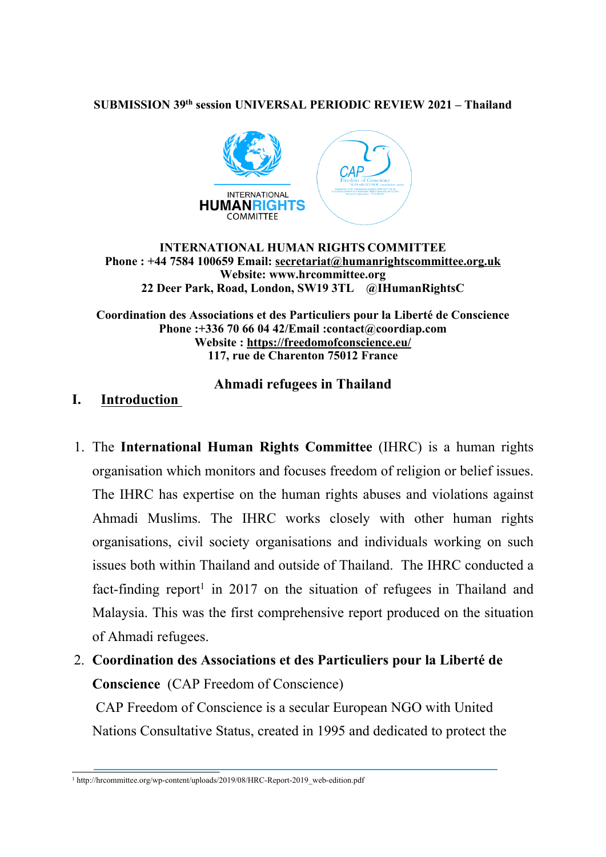#### **SUBMISSION 39th session UNIVERSAL PERIODIC REVIEW 2021 – Thailand**



#### **INTERNATIONAL HUMAN RIGHTS COMMITTEE Phone : +44 7584 100659 Email: [secretariat@humanrightscommittee.org.uk](mailto:secretariat@humanrightscommittee.org.uk) Website: www.hrcommittee.org 22 Deer Park, Road, London, SW19 3TL @IHumanRightsC**

**Coordination des Associations et des Particuliers pour la Liberté de Conscience Phone :+336 70 66 04 42/Email :contact@coordiap.com Website : <https://freedomofconscience.eu/> 117, rue de Charenton 75012 France**

### **Ahmadi refugees in Thailand**

# **I. Introduction**

- 1. The **International Human Rights Committee** (IHRC) is <sup>a</sup> human rights organisation which monitors and focuses freedom of religion or belief issues. The IHRC has expertise on the human rights abuses and violations against Ahmadi Muslims. The IHRC works closely with other human rights organisations, civil society organisations and individuals working on such issues both within Thailand and outside of Thailand. The IHRC conducted <sup>a</sup> fact-finding report<sup>1</sup> in 2017 on the situation of refugees in Thailand and Malaysia. This was the first comprehensive repor<sup>t</sup> produced on the situation of Ahmadi refugees.
- 2. **Coordination des Associations et des Particuliers pour la Liberté de Conscience** (CAP Freedom of Conscience)

CAP Freedom of Conscience is <sup>a</sup> secular European NGO with United Nations Consultative Status, created in 1995 and dedicated to protect the

<sup>&</sup>lt;sup>1</sup> http://hrcommittee.org/wp-content/uploads/2019/08/HRC-Report-2019\_web-edition.pdf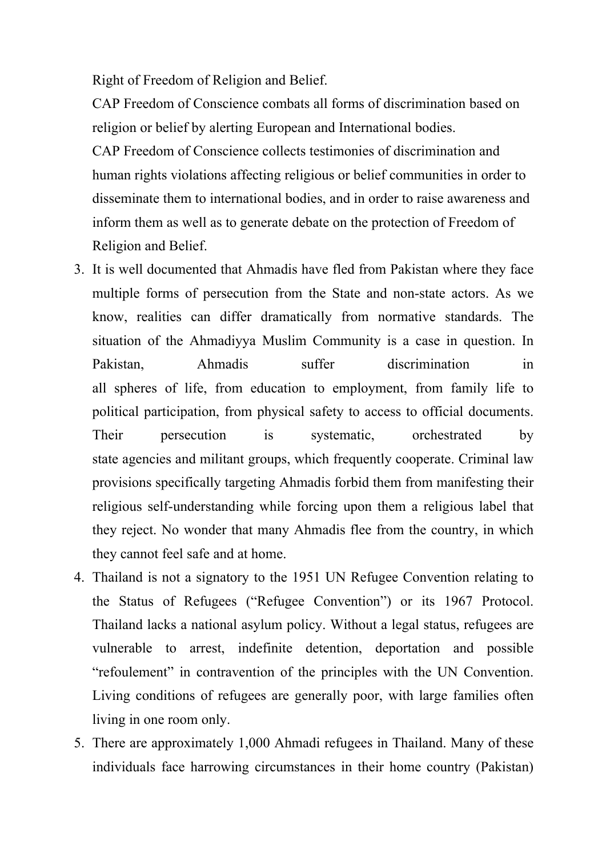Right of Freedom of Religion and Belief.

CAP Freedom of Conscience combats all forms of discrimination based on religion or belief by alerting European and International bodies.

CAP Freedom of Conscience collects testimonies of discrimination and human rights violations affecting religious or belief communities in order to disseminate them to international bodies, and in order to raise awareness and inform them as well as to generate debate on the protection of Freedom of Religion and Belief.

- 3. It is well documented that Ahmadis have fled from Pakistan where they face multiple forms of persecution from the State and non-state actors. As we know, realities can differ dramatically from normative standards. The situation of the Ahmadiyya Muslim Community is <sup>a</sup> case in question. In Pakistan, Ahmadis suffer discrimination in all spheres of life, from education to employment, from family life to political participation, from physical safety to access to official documents. Their persecution is systematic, orchestrated by state agencies and militant groups, which frequently cooperate. Criminal law provisions specifically targeting Ahmadis forbid them from manifesting their religious self-understanding while forcing upon them <sup>a</sup> religious label that they reject. No wonder that many Ahmadis flee from the country, in which they cannot feel safe and at home.
- 4. Thailand is not <sup>a</sup> signatory to the 1951 UN Refugee Convention relating to the Status of Refugees ("Refugee Convention") or its 1967 Protocol. Thailand lacks <sup>a</sup> national asylum policy. Without <sup>a</sup> legal status, refugees are vulnerable to arrest, indefinite detention, deportation and possible "refoulement" in contravention of the principles with the UN Convention. Living conditions of refugees are generally poor, with large families often living in one room only.
- 5. There are approximately 1,000 Ahmadi refugees in Thailand. Many of these individuals face harrowing circumstances in their home country (Pakistan)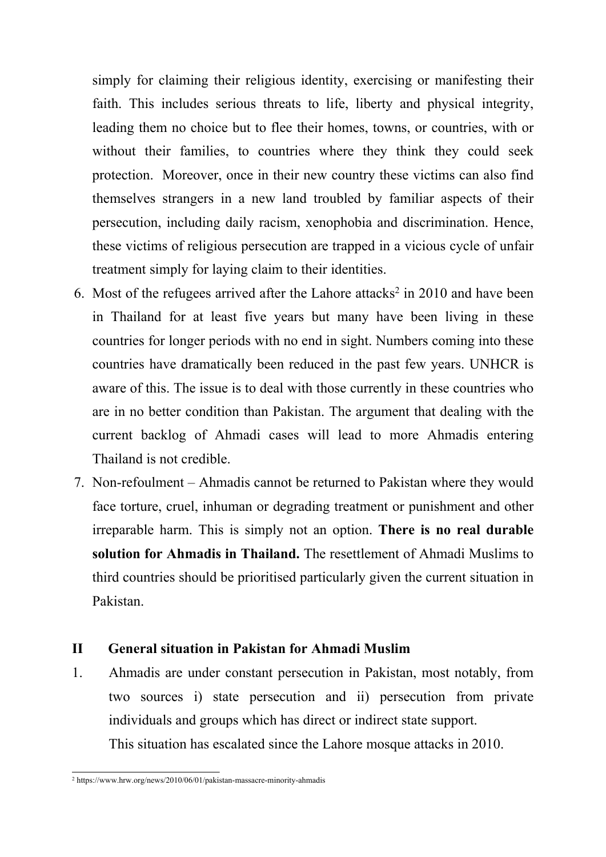simply for claiming their religious identity, exercising or manifesting their faith. This includes serious threats to life, liberty and physical integrity, leading them no choice but to flee their homes, towns, or countries, with or without their families, to countries where they think they could seek protection. Moreover, once in their new country these victims can also find themselves strangers in <sup>a</sup> new land troubled by familiar aspects of their persecution, including daily racism, xenophobia and discrimination. Hence, these victims of religious persecution are trapped in <sup>a</sup> vicious cycle of unfair treatment simply for laying claim to their identities.

- 6. Most of the refugees arrived after the Lahore attacks 2 in 2010 and have been in Thailand for at least five years but many have been living in these countries for longer periods with no end in sight. Numbers coming into these countries have dramatically been reduced in the pas<sup>t</sup> few years. UNHCR is aware of this. The issue is to deal with those currently in these countries who are in no better condition than Pakistan. The argumen<sup>t</sup> that dealing with the current backlog of Ahmadi cases will lead to more Ahmadis entering Thailand is not credible.
- 7. Non-refoulment Ahmadis cannot be returned to Pakistan where they would face torture, cruel, inhuman or degrading treatment or punishment and other irreparable harm. This is simply not an option. **There is no real durable solution for Ahmadis in Thailand.** The resettlement of Ahmadi Muslims to third countries should be prioritised particularly given the current situation in Pakistan.

### **II General situation in Pakistan for Ahmadi Muslim**

1. Ahmadis are under constant persecution in Pakistan, most notably, from two sources i) state persecution and ii) persecution from private individuals and groups which has direct or indirect state support. This situation has escalated since the Lahore mosque attacks in 2010.

<sup>2</sup> https://www.hrw.org/news/2010/06/01/pakistan-massacre-minority-ahmadis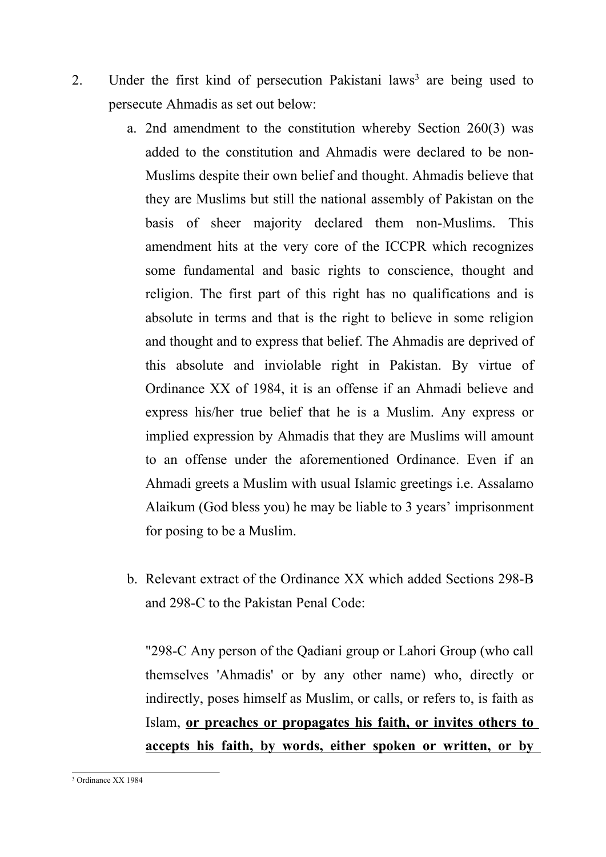- 2. Under the first kind of persecution Pakistani laws<sup>3</sup> are being used to persecute Ahmadis as set out below:
	- a. 2nd amendment to the constitution whereby Section 260(3) was added to the constitution and Ahmadis were declared to be non-Muslims despite their own belief and thought. Ahmadis believe that they are Muslims but still the national assembly of Pakistan on the basis of sheer majority declared them non-Muslims. This amendment hits at the very core of the ICCPR which recognizes some fundamental and basic rights to conscience, thought and religion. The first par<sup>t</sup> of this right has no qualifications and is absolute in terms and that is the right to believe in some religion and thought and to express that belief. The Ahmadis are deprived of this absolute and inviolable right in Pakistan. By virtue of Ordinance XX of 1984, it is an offense if an Ahmadi believe and express his/her true belief that he is <sup>a</sup> Muslim. Any express or implied expression by Ahmadis that they are Muslims will amount to an offense under the aforementioned Ordinance. Even if an Ahmadi greets <sup>a</sup> Muslim with usual Islamic greetings i.e. Assalamo Alaikum (God bless you) he may be liable to 3 years' imprisonment for posing to be <sup>a</sup> Muslim.
	- b. Relevant extract of the Ordinance XX which added Sections 298-B and 298-C to the Pakistan Penal Code:

"298-C Any person of the Qadiani group or Lahori Group (who call themselves 'Ahmadis' or by any other name) who, directly or indirectly, poses himself as Muslim, or calls, or refers to, is faith as Islam, **or preaches or propagates his faith, or invites others to accepts his faith, by words, either spoken or written, or by**

<sup>3</sup> Ordinance XX 1984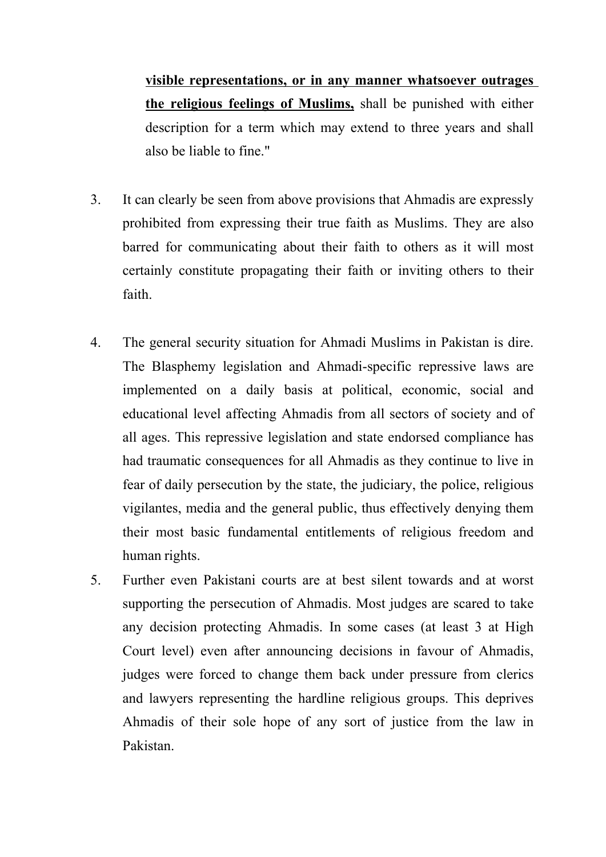**visible representations, or in any manner whatsoever outrages the religious feelings of Muslims,** shall be punished with either description for <sup>a</sup> term which may extend to three years and shall also be liable to fine."

- 3. It can clearly be seen from above provisions that Ahmadis are expressly prohibited from expressing their true faith as Muslims. They are also barred for communicating about their faith to others as it will most certainly constitute propagating their faith or inviting others to their faith.
- 4. The general security situation for Ahmadi Muslims in Pakistan is dire. The Blasphemy legislation and Ahmadi-specific repressive laws are implemented on <sup>a</sup> daily basis at political, economic, social and educational level affecting Ahmadis from all sectors of society and of all ages. This repressive legislation and state endorsed compliance has had traumatic consequences for all Ahmadis as they continue to live in fear of daily persecution by the state, the judiciary, the police, religious vigilantes, media and the general public, thus effectively denying them their most basic fundamental entitlements of religious freedom and human rights.
- 5. Further even Pakistani courts are at best silent towards and at worst supporting the persecution of Ahmadis. Most judges are scared to take any decision protecting Ahmadis. In some cases (at least 3 at High Court level) even after announcing decisions in favour of Ahmadis, judges were forced to change them back under pressure from clerics and lawyers representing the hardline religious groups. This deprives Ahmadis of their sole hope of any sort of justice from the law in Pakistan.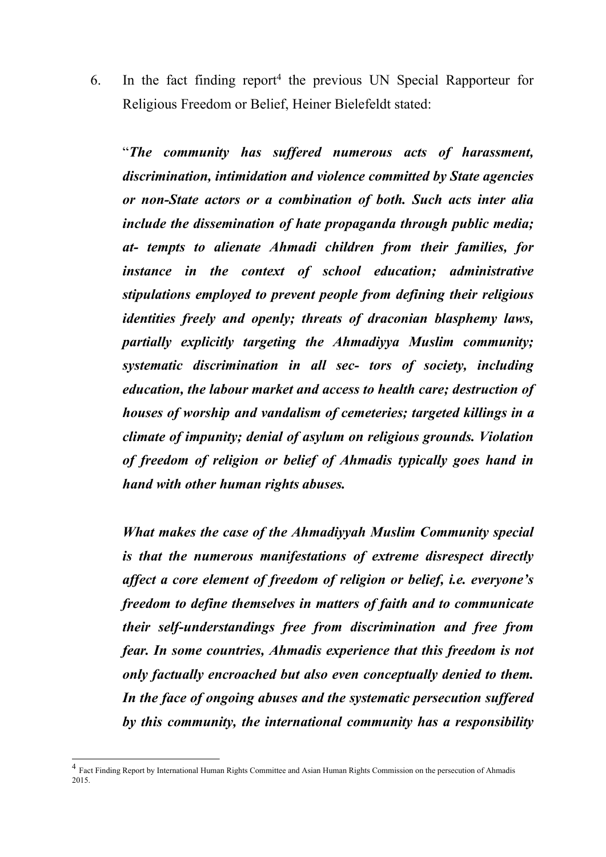6. In the fact finding repor<sup>t</sup> 4 the previous UN Special Rapporteur for Religious Freedom or Belief, Heiner Bielefeldt stated:

"*The community has suffered numerous acts of harassment, discrimination, intimidation and violence committed by State agencies or non-State actors or <sup>a</sup> combination of both. Such acts inter alia include the dissemination of hate propaganda through public media; at- tempts to alienate Ahmadi children from their families, for instance in the context of school education; administrative stipulations employed to preven<sup>t</sup> people from defining their religious identities freely and openly; threats of draconian blasphemy laws, partially explicitly targeting the Ahmadiyya Muslim community; systematic discrimination in all sec- tors of society, including education, the labour market and access to health care; destruction of houses of worship and vandalism of cemeteries; targeted killings in <sup>a</sup> climate of impunity; denial of asylum on religious grounds. Violation of freedom of religion or belief of Ahmadis typically goes hand in hand with other human rights abuses.*

*What makes the case of the Ahmadiyyah Muslim Community special is that the numerous manifestations of extreme disrespect directly affect <sup>a</sup> core element of freedom of religion or belief, i.e. everyone'<sup>s</sup> freedom to define themselves in matters of faith and to communicate their self-understandings free from discrimination and free from fear. In some countries, Ahmadis experience that this freedom is not only factually encroached but also even conceptually denied to them. In the face of ongoing abuses and the systematic persecution suffered by this community, the international community has <sup>a</sup> responsibility*

<sup>&</sup>lt;sup>4</sup> Fact Finding Report by International Human Rights Committee and Asian Human Rights Commission on the persecution of Ahmadis 2015.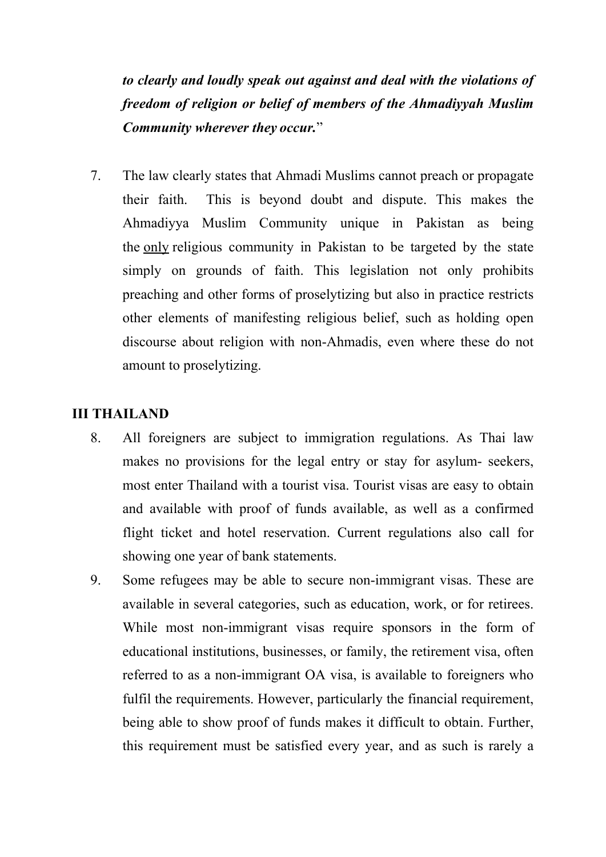*to clearly and loudly speak out against and deal with the violations of freedom of religion or belief of members of the Ahmadiyyah Muslim Community wherever they occur.*"

7. The law clearly states that Ahmadi Muslims cannot preach or propagate their faith. This is beyond doubt and dispute. This makes the Ahmadiyya Muslim Community unique in Pakistan as being the only religious community in Pakistan to be targeted by the state simply on grounds of faith. This legislation not only prohibits preaching and other forms of proselytizing but also in practice restricts other elements of manifesting religious belief, such as holding open discourse about religion with non-Ahmadis, even where these do not amount to proselytizing.

# **III THAILAND**

- 8. All foreigners are subject to immigration regulations. As Thai law makes no provisions for the legal entry or stay for asylum- seekers, most enter Thailand with <sup>a</sup> tourist visa. Tourist visas are easy to obtain and available with proof of funds available, as well as <sup>a</sup> confirmed flight ticket and hotel reservation. Current regulations also call for showing one year of bank statements.
- 9. Some refugees may be able to secure non-immigrant visas. These are available in several categories, such as education, work, or for retirees. While most non-immigrant visas require sponsors in the form of educational institutions, businesses, or family, the retirement visa, often referred to as <sup>a</sup> non-immigrant OA visa, is available to foreigners who fulfil the requirements. However, particularly the financial requirement, being able to show proof of funds makes it difficult to obtain. Further, this requirement must be satisfied every year, and as such is rarely <sup>a</sup>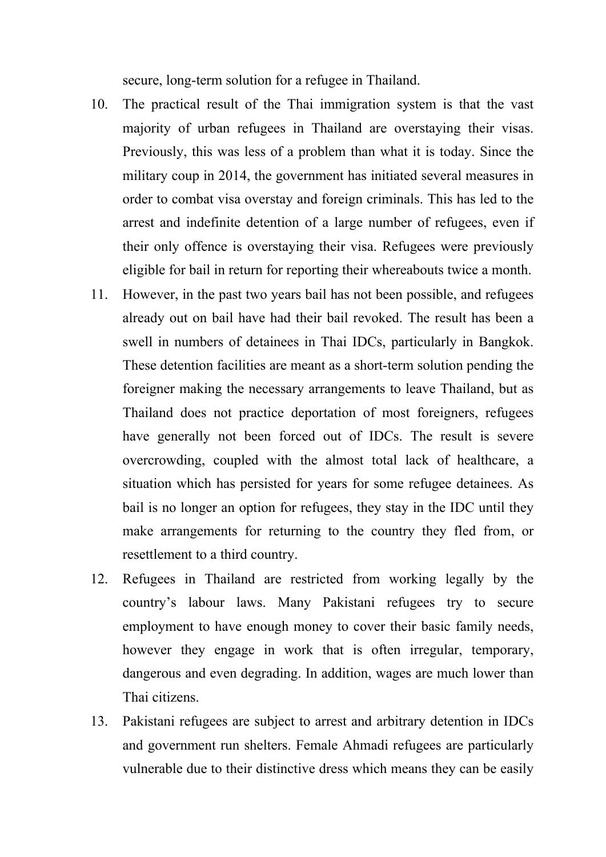secure, long-term solution for <sup>a</sup> refugee in Thailand.

- 10. The practical result of the Thai immigration system is that the vast majority of urban refugees in Thailand are overstaying their visas. Previously, this was less of <sup>a</sup> problem than what it is today. Since the military coup in 2014, the governmen<sup>t</sup> has initiated several measures in order to combat visa overstay and foreign criminals. This has led to the arrest and indefinite detention of <sup>a</sup> large number of refugees, even if their only offence is overstaying their visa. Refugees were previously eligible for bail in return for reporting their whereabouts twice <sup>a</sup> month.
- 11. However, in the pas<sup>t</sup> two years bail has not been possible, and refugees already out on bail have had their bail revoked. The result has been <sup>a</sup> swell in numbers of detainees in Thai IDCs, particularly in Bangkok. These detention facilities are meant as <sup>a</sup> short-term solution pending the foreigner making the necessary arrangements to leave Thailand, but as Thailand does not practice deportation of most foreigners, refugees have generally not been forced out of IDCs. The result is severe overcrowding, coupled with the almost total lack of healthcare, <sup>a</sup> situation which has persisted for years for some refugee detainees. As bail is no longer an option for refugees, they stay in the IDC until they make arrangements for returning to the country they fled from, or resettlement to <sup>a</sup> third country.
- 12. Refugees in Thailand are restricted from working legally by the country'<sup>s</sup> labour laws. Many Pakistani refugees try to secure employment to have enough money to cover their basic family needs, however they engage in work that is often irregular, temporary, dangerous and even degrading. In addition, wages are much lower than Thai citizens.
- 13. Pakistani refugees are subject to arrest and arbitrary detention in IDCs and governmen<sup>t</sup> run shelters. Female Ahmadi refugees are particularly vulnerable due to their distinctive dress which means they can be easily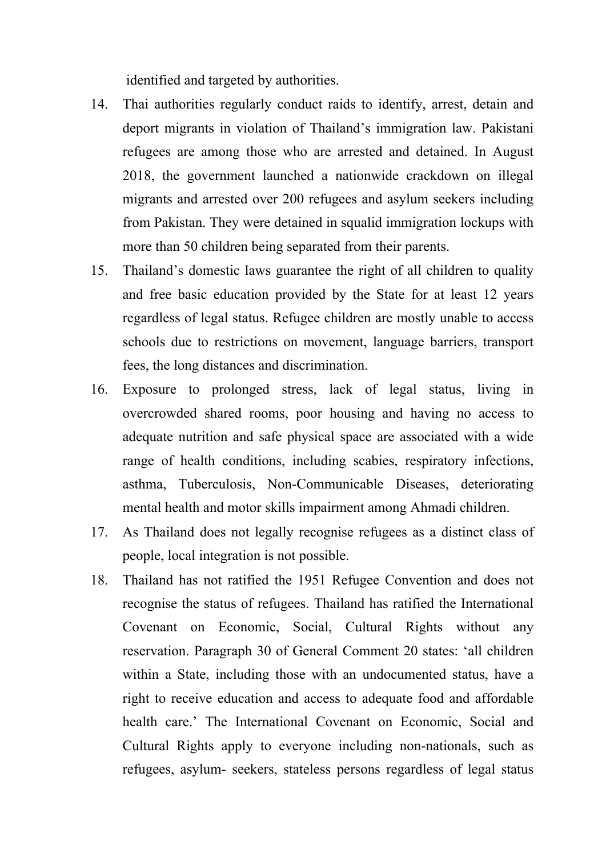identified and targeted by authorities.

- 14. Thai authorities regularly conduct raids to identify, arrest, detain and deport migrants in violation of Thailand'<sup>s</sup> immigration law. Pakistani refugees are among those who are arrested and detained. In August 2018, the governmen<sup>t</sup> launched <sup>a</sup> nationwide crackdown on illegal migrants and arrested over 200 refugees and asylum seekers including from Pakistan. They were detained in squalid immigration lockups with more than 50 children being separated from their parents.
- 15. Thailand'<sup>s</sup> domestic laws guarantee the right of all children to quality and free basic education provided by the State for at least 12 years regardless of legal status. Refugee children are mostly unable to access schools due to restrictions on movement, language barriers, transport fees, the long distances and discrimination.
- 16. Exposure to prolonged stress, lack of legal status, living in overcrowded shared rooms, poor housing and having no access to adequate nutrition and safe physical space are associated with <sup>a</sup> wide range of health conditions, including scabies, respiratory infections, asthma, Tuberculosis, Non-Communicable Diseases, deteriorating mental health and motor skills impairment among Ahmadi children.
- 17. As Thailand does not legally recognise refugees as <sup>a</sup> distinct class of people, local integration is not possible.
- 18. Thailand has not ratified the 1951 Refugee Convention and does not recognise the status of refugees. Thailand has ratified the International Covenant on Economic, Social, Cultural Rights without any reservation. Paragraph 30 of General Comment 20 states: 'all children within <sup>a</sup> State, including those with an undocumented status, have <sup>a</sup> right to receive education and access to adequate food and affordable health care.' The International Covenant on Economic, Social and Cultural Rights apply to everyone including non-nationals, such as refugees, asylum- seekers, stateless persons regardless of legal status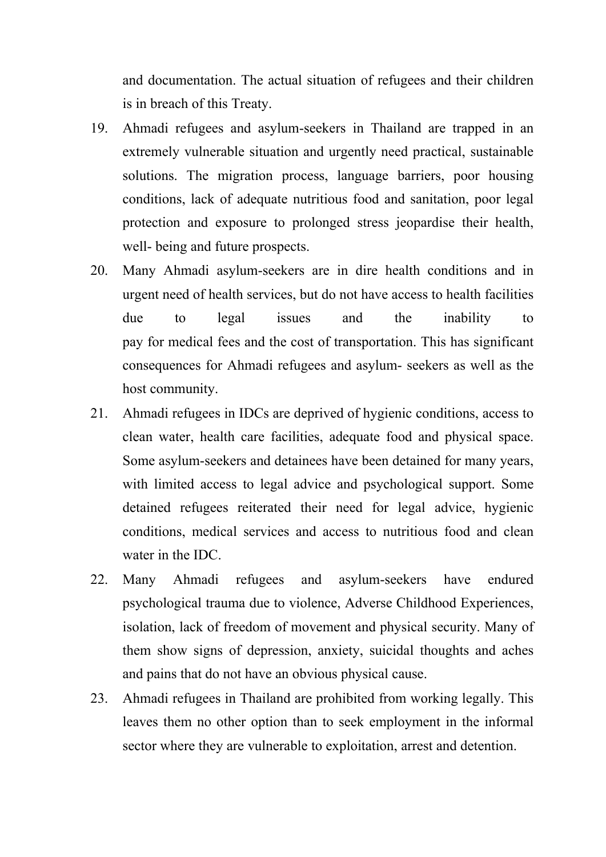and documentation. The actual situation of refugees and their children is in breach of this Treaty.

- 19. Ahmadi refugees and asylum-seekers in Thailand are trapped in an extremely vulnerable situation and urgently need practical, sustainable solutions. The migration process, language barriers, poor housing conditions, lack of adequate nutritious food and sanitation, poor legal protection and exposure to prolonged stress jeopardise their health, well- being and future prospects.
- 20. Many Ahmadi asylum-seekers are in dire health conditions and in urgen<sup>t</sup> need of health services, but do not have access to health facilities due to legal issues and the inability to pay for medical fees and the cost of transportation. This has significant consequences for Ahmadi refugees and asylum- seekers as well as the host community.
- 21. Ahmadi refugees in IDCs are deprived of hygienic conditions, access to clean water, health care facilities, adequate food and physical space. Some asylum-seekers and detainees have been detained for many years, with limited access to legal advice and psychological support. Some detained refugees reiterated their need for legal advice, hygienic conditions, medical services and access to nutritious food and clean water in the IDC.
- 22. Many Ahmadi refugees and asylum-seekers have endured psychological trauma due to violence, Adverse Childhood Experiences, isolation, lack of freedom of movement and physical security. Many of them show signs of depression, anxiety, suicidal thoughts and aches and pains that do not have an obvious physical cause.
- 23. Ahmadi refugees in Thailand are prohibited from working legally. This leaves them no other option than to seek employment in the informal sector where they are vulnerable to exploitation, arrest and detention.